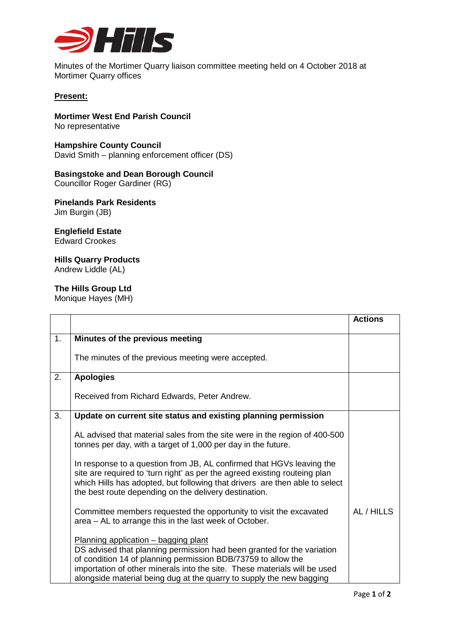

Minutes of the Mortimer Quarry liaison committee meeting held on 4 October 2018 at Mortimer Quarry offices

## **Present:**

**Mortimer West End Parish Council** No representative

**Hampshire County Council** David Smith – planning enforcement officer (DS)

**Basingstoke and Dean Borough Council** Councillor Roger Gardiner (RG)

**Pinelands Park Residents** Jim Burgin (JB)

## **Englefield Estate**

Edward Crookes

## **Hills Quarry Products** Andrew Liddle (AL)

## **The Hills Group Ltd**

Monique Hayes (MH)

|    |                                                                                                                                                                                                                                                                                                                                      | <b>Actions</b> |
|----|--------------------------------------------------------------------------------------------------------------------------------------------------------------------------------------------------------------------------------------------------------------------------------------------------------------------------------------|----------------|
| 1. | Minutes of the previous meeting                                                                                                                                                                                                                                                                                                      |                |
|    | The minutes of the previous meeting were accepted.                                                                                                                                                                                                                                                                                   |                |
| 2. | <b>Apologies</b>                                                                                                                                                                                                                                                                                                                     |                |
|    | Received from Richard Edwards, Peter Andrew.                                                                                                                                                                                                                                                                                         |                |
| 3. | Update on current site status and existing planning permission                                                                                                                                                                                                                                                                       |                |
|    | AL advised that material sales from the site were in the region of 400-500<br>tonnes per day, with a target of 1,000 per day in the future.                                                                                                                                                                                          |                |
|    | In response to a question from JB, AL confirmed that HGVs leaving the<br>site are required to 'turn right' as per the agreed existing routeing plan<br>which Hills has adopted, but following that drivers are then able to select<br>the best route depending on the delivery destination.                                          |                |
|    | Committee members requested the opportunity to visit the excavated<br>area - AL to arrange this in the last week of October.                                                                                                                                                                                                         | AL / HILLS     |
|    | Planning application - bagging plant<br>DS advised that planning permission had been granted for the variation<br>of condition 14 of planning permission BDB/73759 to allow the<br>importation of other minerals into the site. These materials will be used<br>alongside material being dug at the quarry to supply the new bagging |                |